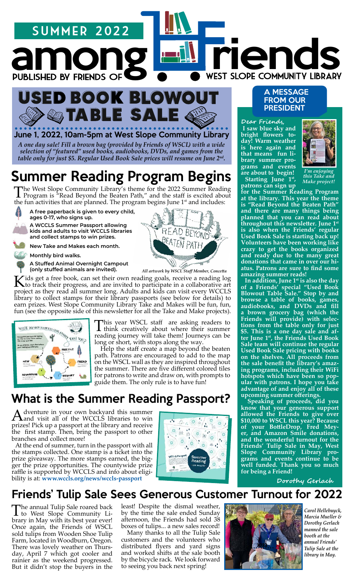



*A one day sale! Fill a brown bag (provided by Friends of WSCL) with a wide selection of "featured" used books, audiobooks, DVDs, and games from the table only for just \$5. Regular Used Book Sale prices will resume on June 2nd.*  June 1, 2022, 10am-5pm at West Slope Community Library

## Summer Reading Program Begins

The West Slope Community Library's theme for the 2022 Summer Reading Program is "Read Beyond the Beaten Path," and the staff is excited about the fun activities that are planned. The program begins June 1<sup>st</sup> and includes:



**A free paperback is given to every child, ages 0-17, who signs up. A WCCLS Summer Passport allowing** 

**kids and adults to visit WCCLS libraries and collect stamps to win prizes.**

**New Take and Makes each month.** 

**Monthly bird walks.**

**A Stuffed Animal Overnight Campout (only stuffed animals are invited).**



*All artwork by WSCL Staff Member, Concetta*

Kids get a free book, can set their own reading goals, receive a reading log<br>to track their progress, and are invited to participate in a collaborative art project as they read all summer long. Adults and kids can visit every WCCLS library to collect stamps for their library passports (see below for details) to earn prizes. West Slope Community Library Take and Makes will be fun, fun, fun (see the opposite side of this newsletter for all the Take and Make projects).



This year WSCL staff are asking readers to think creatively about where their summer reading journey will take them! Journeys can be long or short, with stops along the way.

guide them. The only rule is to have fun! Help the staff create a map beyond the beaten path. Patrons are encouraged to add to the map on the WSCL wall as they are inspired throughout the summer. There are five different colored tiles for patrons to write and draw on, with prompts to

### What is the Summer Reading Passport?

A dventure in your own backyard this summer<br>A and visit all of the WCCLS libraries to win prizes! Pick up a passport at the library and receive the first stamp. Then, bring the passport to other branches and collect more!

 At the end of summer, turn in the passport with all the stamps collected. One stamp is a ticket into the prize giveaway. The more stamps earned, the bigger the prize opportunities. The countywide prize raffle is supported by WCCLS and info about eligibility is at: **[www.wccls.org/news/wccls-passport](http://www.wccls.org/news/wccls-passport)**



#### A MESSAGE FROM OUR PRESIDENT

**Dear Friends, I saw blue sky and bright flowers today! Warm weather is here again and that means fun library summer programs and events are about to begin! Starting June 1st,** 



*I'm enjoying this Take and Make project!*

**patrons can sign up for the Summer Reading Program at the library. This year the theme is "Read Beyond the Beaten Path" and there are many things being planned that you can read about throughout this newsletter. June 1st is also when the Friends' regular Used Book Sale is starting back up! Volunteers have been working like crazy to get the books organized and ready due to the many great donations that came in over our hiatus. Patrons are sure to find some amazing summer reads!** 

 **In addition, June 1st is also the day of a Friends' special "Used Book Blowout Table Sale." Stop by and browse a table of books, games, audiobooks, and DVDs and fill a brown grocery bag (which the Friends will provide) with selections from the table only for just \$5. This is a one day sale and after June 1st, the Friends Used Book Sale team will continue the regular Used Book Sale pricing with books on the shelves. All proceeds from the sale benefit the library's amazing programs, including their WiFi hotspots which have been so popular with patrons. I hope you take advantage of and enjoy all of these upcoming summer offerings.** 

 **Speaking of proceeds, did you know that your generous support allowed the Friends to give over \$10,000 to WSCL this year? Because of your BottleDrop, Fred Meyer, and Amazon Smile donations, and the wonderful turnout for the Friends' Tulip Sale in May, West Slope Community Library programs and events continue to be well funded. Thank you so much for being a Friend!** 

 **Dorothy Gerlach**

### Friends' Tulip Sale Sees Generous Customer Turnout for 2022

The annual Tulip Sale roared back to West Slope Community Library in May with its best year ever! Once again, the Friends of WSCL sold tulips from Wooden Shoe Tulip Farm, located in Woodburn, Oregon. There was lovely weather on Thursday, April 7 which got cooler and rainier as the weekend progressed. But it didn't stop the buyers in the

least! Despite the dismal weather, by the time the sale ended Sunday afternoon, the Friends had sold 38 boxes of tulips... a new sales record!

 Many thanks to all the Tulip Sale customers and the volunteers who distributed flyers and yard signs and worked shifts at the sale booth by the bicycle rack. We look forward to seeing you back next spring!



*Carol Hellebuyck, Marcia Mueller & Dorothy Gerlach manned the sale booth at the annual Friends' Tulip Sale at the library in May.*